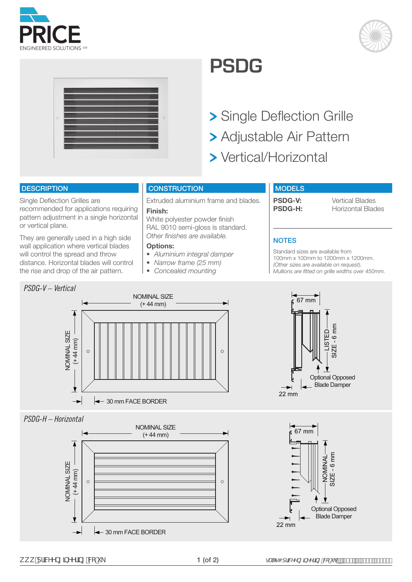





## **PSDG**

**> Single Deflection Grille** 

- Adjustable Air Pattern
- > Vertical/Horizontal

#### **DESCRIPTION**

Single Deflection Grilles are recommended for applications requiring pattern adjustment in a single horizontal or vertical plane.

They are generally used in a high side wall application where vertical blades will control the spread and throw distance. Horizontal blades will control the rise and drop of the air pattern.

#### **CONSTRUCTION**

Extruded aluminium frame and blades.

#### **Finish:**

White polyester powder finish RAL 9010 semi-gloss is standard. *Other finishes are available.*

#### **Options:**

- *• Aluminium integral damper*
- *• Narrow frame (25 mm)*
- *• Concealed mounting*

#### **MODELS**

**PSDG-V:** Vertical Blades<br> **PSDG-H:** Horizontal Blac **Horizontal Blades** 

### **NOTES**

Standard sizes are available from 100mm x 100mm to 1200mm x 1200mm. *(Other sizes are available on request). Mullions are fitted on grille widths over 450mm.*